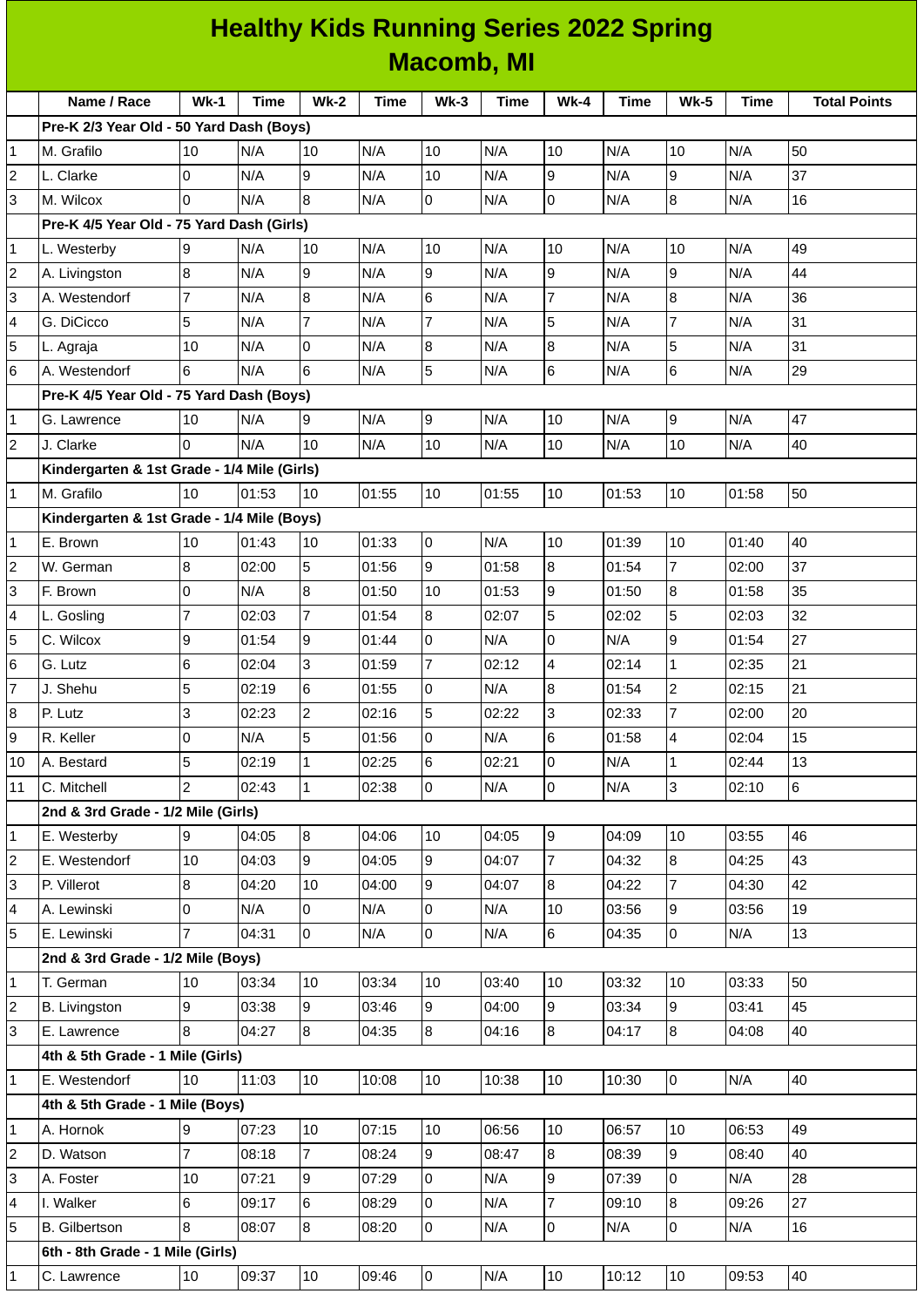|                |                                             |                |             |                |             |                   | <b>Healthy Kids Running Series 2022 Spring</b> |                |       |                          |             |                     |
|----------------|---------------------------------------------|----------------|-------------|----------------|-------------|-------------------|------------------------------------------------|----------------|-------|--------------------------|-------------|---------------------|
|                |                                             |                |             |                |             | <b>Macomb, MI</b> |                                                |                |       |                          |             |                     |
|                | Name / Race                                 | $Wk-1$         | <b>Time</b> | $Wk-2$         | <b>Time</b> | $Wk-3$            | <b>Time</b>                                    | $Wk-4$         | Time  | $Wk-5$                   | <b>Time</b> | <b>Total Points</b> |
|                | Pre-K 2/3 Year Old - 50 Yard Dash (Boys)    |                |             |                |             |                   |                                                |                |       |                          |             |                     |
| $\vert$ 1      | M. Grafilo                                  | 10             | N/A         | 10             | N/A         | 10                | N/A                                            | 10             | N/A   | 10                       | N/A         | 50                  |
| $\overline{2}$ | L. Clarke                                   | 0              | N/A         | 9              | N/A         | 10                | N/A                                            | 9              | N/A   | $\mathsf g$              | N/A         | 37                  |
| 3              | M. Wilcox                                   | 0              | N/A         | 8              | N/A         | 0                 | N/A                                            | $\mathsf{O}$   | N/A   | $\overline{8}$           | N/A         | 16                  |
|                | Pre-K 4/5 Year Old - 75 Yard Dash (Girls)   |                |             |                |             |                   |                                                |                |       |                          |             |                     |
| 1              | L. Westerby                                 | 9              | N/A         | 10             | N/A         | 10                | N/A                                            | 10             | N/A   | 10                       | N/A         | 49                  |
| $\overline{2}$ | A. Livingston                               | 8              | N/A         | 9              | N/A         | 9                 | N/A                                            | $\overline{9}$ | N/A   | $\overline{9}$           | N/A         | 44                  |
| 3              | A. Westendorf                               | $\overline{7}$ | N/A         | 8              | N/A         | 6                 | N/A                                            | $\overline{7}$ | N/A   | $\overline{8}$           | N/A         | 36                  |
| 4              | G. DiCicco                                  | 5              | N/A         | $\overline{7}$ | N/A         | $\overline{7}$    | N/A                                            | 5              | N/A   | 7                        | N/A         | 31                  |
| 5              | L. Agraja                                   | 10             | N/A         | l0             | N/A         | 8                 | N/A                                            | 8              | N/A   | 5                        | N/A         | 31                  |
| 6              | A. Westendorf                               | 6              | N/A         | 6              | N/A         | 5                 | N/A                                            | 6              | N/A   | 6                        | N/A         | 29                  |
|                | Pre-K 4/5 Year Old - 75 Yard Dash (Boys)    |                |             |                |             |                   |                                                |                |       |                          |             |                     |
| $\mathbf{1}$   | G. Lawrence                                 | 10             | N/A         | 9              | N/A         | 9                 | N/A                                            | 10             | N/A   | 9                        | N/A         | 47                  |
| 2              | J. Clarke                                   | $\Omega$       | N/A         | 10             | N/A         | 10                | N/A                                            | 10             | N/A   | 10                       | N/A         | 40                  |
|                | Kindergarten & 1st Grade - 1/4 Mile (Girls) |                |             |                |             |                   |                                                |                |       |                          |             |                     |
| $\vert$ 1      | M. Grafilo                                  | 10             | 01:53       | 10             | 01:55       | 10                | 01:55                                          | 10             | 01:53 | 10                       | 01:58       | 50                  |
|                | Kindergarten & 1st Grade - 1/4 Mile (Boys)  |                |             |                |             |                   |                                                |                |       |                          |             |                     |
| $\mathbf{1}$   | E. Brown                                    | 10             | 01:43       | 10             | 01:33       | 0                 | N/A                                            | 10             | 01:39 | 10                       | 01:40       | 40                  |
| $\overline{2}$ | W. German                                   | 8              | 02:00       | 5              | 01:56       | 9                 | 01:58                                          | 8              | 01:54 | $\overline{7}$           | 02:00       | 37                  |
| 3              | F. Brown                                    | 0              | N/A         | 8              | 01:50       | 10                | 01:53                                          | 9              | 01:50 | $\overline{8}$           | 01:58       | 35                  |
| 4              | L. Gosling                                  | $\overline{7}$ | 02:03       | $\overline{7}$ | 01:54       | 8                 | 02:07                                          | 5              | 02:02 | 5                        | 02:03       | 32                  |
| 5              | C. Wilcox                                   | 9              | 01:54       | 9              | 01:44       | 0                 | N/A                                            | 0              | N/A   | $\overline{9}$           | 01:54       | 27                  |
| 6              | G. Lutz                                     | 6              | 02:04       | 3              | 01:59       | $\overline{7}$    | 02:12                                          | $\overline{4}$ | 02:14 | $\mathbf{1}$             | 02:35       | 21                  |
| $\overline{7}$ | J. Shehu                                    | 5              | 02:19       | 6              | 01:55       | 0                 | N/A                                            | 8              | 01:54 | $\overline{c}$           | 02:15       | 21                  |
| $\bf{8}$       | P. Lutz                                     | 3              | 02:23       | $\overline{c}$ | 02:16       | 5                 | 02:22                                          | $\overline{3}$ | 02:33 | $\overline{7}$           | 02:00       | 20                  |
| 9              | R. Keller                                   | 0              | N/A         | 5              | 01:56       | 0                 | N/A                                            | $6\phantom{1}$ | 01:58 | $\overline{\mathcal{L}}$ | 02:04       | 15                  |
| 10             | A. Bestard                                  | 5              | 02:19       | 1              | 02:25       | 6                 | 02:21                                          | l0             | N/A   | $\mathbf{1}$             | 02:44       | 13                  |
| 11             | C. Mitchell                                 | $\overline{c}$ | 02:43       | $\mathbf{1}$   | 02:38       | 0                 | N/A                                            | $\overline{0}$ | N/A   | $\overline{3}$           | 02:10       | $6\phantom{a}$      |
|                | 2nd & 3rd Grade - 1/2 Mile (Girls)          |                |             |                |             |                   |                                                |                |       |                          |             |                     |
| $\vert$ 1      | E. Westerby                                 | 9              | 04:05       | 8              | 04:06       | 10                | 04:05                                          | 9              | 04:09 | 10                       | 03:55       | 46                  |
| $\overline{2}$ | E. Westendorf                               | 10             | 04:03       | 9              | 04:05       | 9                 | 04:07                                          | $\overline{7}$ | 04:32 | $\overline{8}$           | 04:25       | 43                  |
| 3              | P. Villerot                                 | 8              | 04:20       | 10             | 04:00       | 9                 | 04:07                                          | 8              | 04:22 | $\overline{7}$           | 04:30       | 42                  |
| 4              | A. Lewinski                                 | 0              | N/A         | 0              | N/A         | 0                 | N/A                                            | 10             | 03:56 | 9                        | 03:56       | 19                  |
| 5              | E. Lewinski                                 | $\overline{7}$ | 04:31       | lo.            | N/A         | 0                 | N/A                                            | $6\phantom{a}$ | 04:35 | lo                       | N/A         | 13                  |
|                | 2nd & 3rd Grade - 1/2 Mile (Boys)           |                |             |                |             |                   |                                                |                |       |                          |             |                     |
| 1              | T. German                                   | $10\,$         | 03:34       | 10             | 03:34       | 10                | 03:40                                          | 10             | 03:32 | 10                       | 03:33       | 50                  |
| $\overline{2}$ | <b>B.</b> Livingston                        | 9              | 03:38       | 9              | 03:46       | 9                 | 04:00                                          | 9              | 03:34 | 9                        | 03:41       | 45                  |
| 3              | E. Lawrence                                 | 8              | 04:27       | 8              | 04:35       | 8                 | 04:16                                          | 8              | 04:17 | 8                        | 04:08       | 40                  |
|                | 4th & 5th Grade - 1 Mile (Girls)            |                |             |                |             |                   |                                                |                |       |                          |             |                     |
| 1              | E. Westendorf                               | 10             | 11:03       | 10             | 10:08       | 10                | 10:38                                          | 10             | 10:30 | l0                       | N/A         | 40                  |
|                | 4th & 5th Grade - 1 Mile (Boys)             |                |             |                |             |                   |                                                |                |       |                          |             |                     |
| $\vert$ 1      | A. Hornok                                   | 9              | 07:23       | 10             | 07:15       | 10                | 06:56                                          | 10             | 06:57 | 10                       | 06:53       | 49                  |
| $\overline{2}$ | D. Watson                                   | $\overline{7}$ | 08:18       | 7              | 08:24       | 9                 | 08:47                                          | 8              | 08:39 | 9                        | 08:40       | 40                  |
| 3              | A. Foster                                   | 10             | 07:21       | 9              | 07:29       | 0                 | N/A                                            | 9              | 07:39 | 0                        | N/A         | 28                  |
| $\overline{4}$ | I. Walker                                   | 6              | 09:17       | $6\phantom{a}$ | 08:29       | 0                 | N/A                                            | $\overline{7}$ | 09:10 | $\overline{8}$           | 09:26       | 27                  |
| 5              | <b>B.</b> Gilbertson                        | 8              | 08:07       | 8              | 08:20       | 0                 | N/A                                            | $\overline{0}$ | N/A   | l0                       | N/A         | 16                  |
|                | 6th - 8th Grade - 1 Mile (Girls)            |                |             |                |             |                   |                                                |                |       |                          |             |                     |
| $\mathbf{1}$   | C. Lawrence                                 | $10\,$         | 09:37       | 10             | 09:46       | 0                 | N/A                                            | $10\,$         | 10:12 | 10                       | 09:53       | 40                  |
|                |                                             |                |             |                |             |                   |                                                |                |       |                          |             |                     |